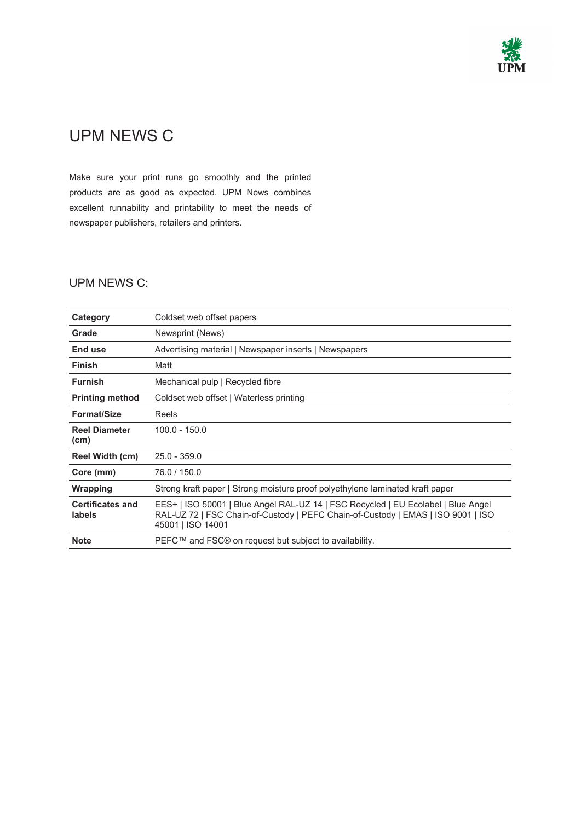

## UPM NEWS C

Make sure your print runs go smoothly and the printed products are as good as expected. UPM News combines excellent runnability and printability to meet the needs of newspaper publishers, retailers and printers.

## UPM NEWS C:

| Category                          | Coldset web offset papers                                                                                                                                                                  |
|-----------------------------------|--------------------------------------------------------------------------------------------------------------------------------------------------------------------------------------------|
| Grade                             | Newsprint (News)                                                                                                                                                                           |
| End use                           | Advertising material   Newspaper inserts   Newspapers                                                                                                                                      |
| <b>Finish</b>                     | Matt                                                                                                                                                                                       |
| <b>Furnish</b>                    | Mechanical pulp   Recycled fibre                                                                                                                                                           |
| <b>Printing method</b>            | Coldset web offset   Waterless printing                                                                                                                                                    |
| <b>Format/Size</b>                | Reels                                                                                                                                                                                      |
| <b>Reel Diameter</b><br>(cm)      | $100.0 - 150.0$                                                                                                                                                                            |
| Reel Width (cm)                   | $25.0 - 359.0$                                                                                                                                                                             |
| Core (mm)                         | 76.0 / 150.0                                                                                                                                                                               |
| Wrapping                          | Strong kraft paper   Strong moisture proof polyethylene laminated kraft paper                                                                                                              |
| <b>Certificates and</b><br>labels | EES+   ISO 50001   Blue Angel RAL-UZ 14   FSC Recycled   EU Ecolabel   Blue Angel<br>RAL-UZ 72   FSC Chain-of-Custody   PEFC Chain-of-Custody   EMAS   ISO 9001   ISO<br>45001   ISO 14001 |
| <b>Note</b>                       | PEFC™ and FSC® on request but subject to availability.                                                                                                                                     |